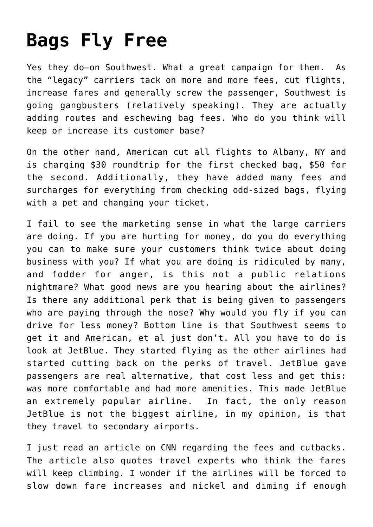## **[Bags Fly Free](https://deborahbrody.com/2008/06/bags-fly-free/)**

Yes they do–on Southwest. What a great campaign for them. As the "legacy" carriers tack on more and more fees, cut flights, increase fares and generally screw the passenger, Southwest is going gangbusters (relatively speaking). They are actually adding routes and eschewing bag fees. Who do you think will keep or increase its customer base?

On the other hand, American cut all flights to Albany, NY and is charging \$30 roundtrip for the first checked bag, \$50 for the second. Additionally, they have added many fees and surcharges for everything from checking odd-sized bags, flying with a pet and changing your ticket.

I fail to see the marketing sense in what the large carriers are doing. If you are hurting for money, do you do everything you can to make sure your customers think twice about doing business with you? If what you are doing is ridiculed by many, and fodder for anger, is this not a public relations nightmare? What good news are you hearing about the airlines? Is there any additional perk that is being given to passengers who are paying through the nose? Why would you fly if you can drive for less money? Bottom line is that Southwest seems to get it and American, et al just don't. All you have to do is look at JetBlue. They started flying as the other airlines had started cutting back on the perks of travel. JetBlue gave passengers are real alternative, that cost less and get this: was more comfortable and had more amenities. This made JetBlue an extremely popular airline. In fact, the only reason JetBlue is not the biggest airline, in my opinion, is that they travel to secondary airports.

I just read [an article on CNN](http://money.cnn.com/2008/06/27/news/companies/airlines_capacity/index.htm?cnn=yes) regarding the fees and cutbacks. The article also quotes travel experts who think the fares will keep climbing. I wonder if the airlines will be forced to slow down fare increases and nickel and diming if enough